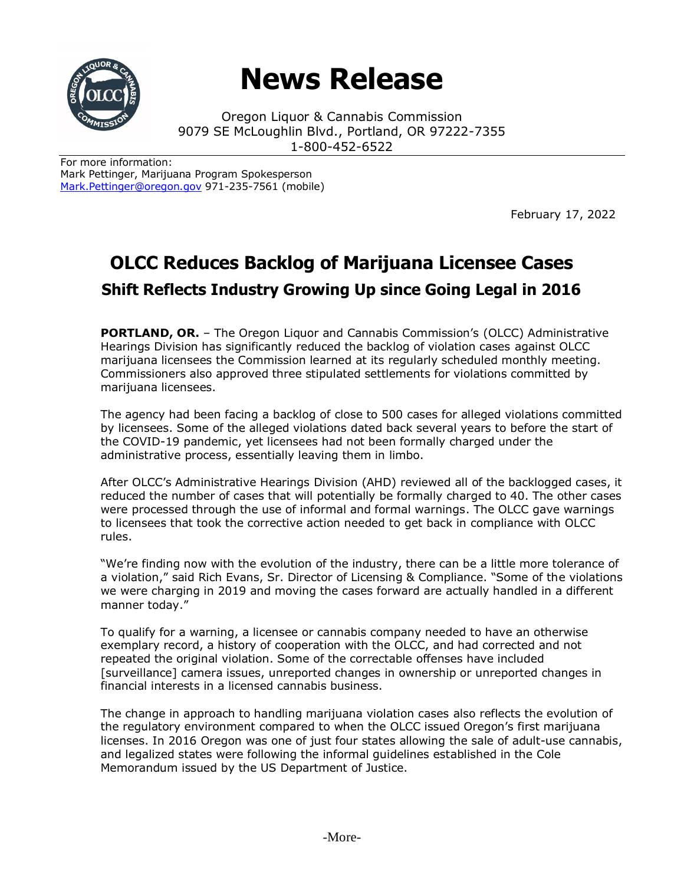

## **News Release**

Oregon Liquor & Cannabis Commission 9079 SE McLoughlin Blvd., Portland, OR 97222-7355 1-800-452-6522

For more information: Mark Pettinger, Marijuana Program Spokesperson [Mark.Pettinger@oregon.gov](mailto:Mark.Pettinger@oregon.gov) 971-235-7561 (mobile)

February 17, 2022

## **OLCC Reduces Backlog of Marijuana Licensee Cases Shift Reflects Industry Growing Up since Going Legal in 2016**

**PORTLAND, OR.** - The Oregon Liquor and Cannabis Commission's (OLCC) Administrative Hearings Division has significantly reduced the backlog of violation cases against OLCC marijuana licensees the Commission learned at its regularly scheduled monthly meeting. Commissioners also approved three stipulated settlements for violations committed by marijuana licensees.

The agency had been facing a backlog of close to 500 cases for alleged violations committed by licensees. Some of the alleged violations dated back several years to before the start of the COVID-19 pandemic, yet licensees had not been formally charged under the administrative process, essentially leaving them in limbo.

After OLCC's Administrative Hearings Division (AHD) reviewed all of the backlogged cases, it reduced the number of cases that will potentially be formally charged to 40. The other cases were processed through the use of informal and formal warnings. The OLCC gave warnings to licensees that took the corrective action needed to get back in compliance with OLCC rules.

"We're finding now with the evolution of the industry, there can be a little more tolerance of a violation," said Rich Evans, Sr. Director of Licensing & Compliance. "Some of the violations we were charging in 2019 and moving the cases forward are actually handled in a different manner today."

To qualify for a warning, a licensee or cannabis company needed to have an otherwise exemplary record, a history of cooperation with the OLCC, and had corrected and not repeated the original violation. Some of the correctable offenses have included [surveillance] camera issues, unreported changes in ownership or unreported changes in financial interests in a licensed cannabis business.

The change in approach to handling marijuana violation cases also reflects the evolution of the regulatory environment compared to when the OLCC issued Oregon's first marijuana licenses. In 2016 Oregon was one of just four states allowing the sale of adult-use cannabis, and legalized states were following the informal guidelines established in the Cole Memorandum issued by the US Department of Justice.